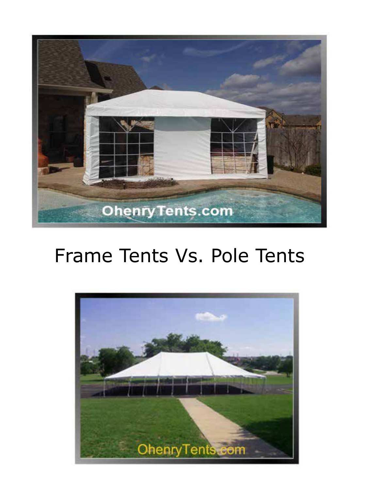

## Frame Tents Vs. Pole Tents